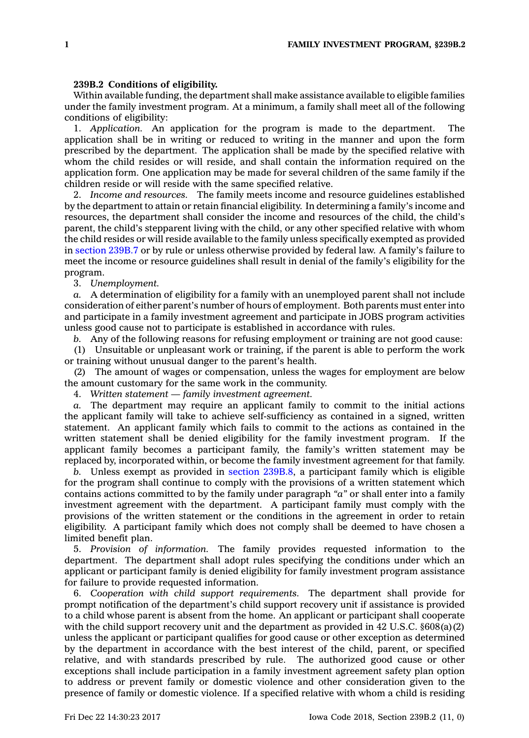## **239B.2 Conditions of eligibility.**

Within available funding, the department shall make assistance available to eligible families under the family investment program. At <sup>a</sup> minimum, <sup>a</sup> family shall meet all of the following conditions of eligibility:

1. *Application.* An application for the program is made to the department. The application shall be in writing or reduced to writing in the manner and upon the form prescribed by the department. The application shall be made by the specified relative with whom the child resides or will reside, and shall contain the information required on the application form. One application may be made for several children of the same family if the children reside or will reside with the same specified relative.

2. *Income and resources.* The family meets income and resource guidelines established by the department to attain or retain financial eligibility. In determining <sup>a</sup> family's income and resources, the department shall consider the income and resources of the child, the child's parent, the child's stepparent living with the child, or any other specified relative with whom the child resides or will reside available to the family unless specifically exempted as provided in [section](https://www.legis.iowa.gov/docs/code/239B.7.pdf) 239B.7 or by rule or unless otherwise provided by federal law. A family's failure to meet the income or resource guidelines shall result in denial of the family's eligibility for the program.

3. *Unemployment.*

*a.* A determination of eligibility for <sup>a</sup> family with an unemployed parent shall not include consideration of either parent's number of hours of employment. Both parents must enter into and participate in <sup>a</sup> family investment agreement and participate in JOBS program activities unless good cause not to participate is established in accordance with rules.

*b.* Any of the following reasons for refusing employment or training are not good cause:

(1) Unsuitable or unpleasant work or training, if the parent is able to perform the work or training without unusual danger to the parent's health.

(2) The amount of wages or compensation, unless the wages for employment are below the amount customary for the same work in the community.

4. *Written statement —family investment agreement.*

*a.* The department may require an applicant family to commit to the initial actions the applicant family will take to achieve self-sufficiency as contained in <sup>a</sup> signed, written statement. An applicant family which fails to commit to the actions as contained in the written statement shall be denied eligibility for the family investment program. If the applicant family becomes <sup>a</sup> participant family, the family's written statement may be replaced by, incorporated within, or become the family investment agreement for that family.

*b.* Unless exempt as provided in section [239B.8](https://www.legis.iowa.gov/docs/code/239B.8.pdf), <sup>a</sup> participant family which is eligible for the program shall continue to comply with the provisions of <sup>a</sup> written statement which contains actions committed to by the family under paragraph *"a"* or shall enter into <sup>a</sup> family investment agreement with the department. A participant family must comply with the provisions of the written statement or the conditions in the agreement in order to retain eligibility. A participant family which does not comply shall be deemed to have chosen <sup>a</sup> limited benefit plan.

5. *Provision of information.* The family provides requested information to the department. The department shall adopt rules specifying the conditions under which an applicant or participant family is denied eligibility for family investment program assistance for failure to provide requested information.

6. *Cooperation with child support requirements.* The department shall provide for prompt notification of the department's child support recovery unit if assistance is provided to <sup>a</sup> child whose parent is absent from the home. An applicant or participant shall cooperate with the child support recovery unit and the department as provided in 42 U.S.C.  $\S 608(a)(2)$ unless the applicant or participant qualifies for good cause or other exception as determined by the department in accordance with the best interest of the child, parent, or specified relative, and with standards prescribed by rule. The authorized good cause or other exceptions shall include participation in <sup>a</sup> family investment agreement safety plan option to address or prevent family or domestic violence and other consideration given to the presence of family or domestic violence. If <sup>a</sup> specified relative with whom <sup>a</sup> child is residing